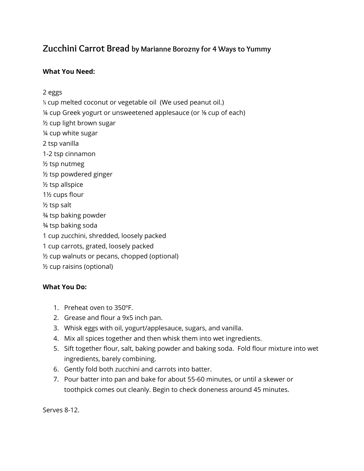## **Zucchini Carrot Bread by Marianne Borozny for <sup>4</sup> Ways to Yummy**

## **What You Need:**

2 eggs

⅓ cup melted coconut or vegetable oil (We used peanut oil.) ¼ cup Greek yogurt or unsweetened applesauce (or ⅛ cup of each) ½ cup light brown sugar ¼ cup white sugar 2 tsp vanilla 1-2 tsp cinnamon ½ tsp nutmeg ½ tsp powdered ginger ½ tsp allspice 1½ cups flour ½ tsp salt ¾ tsp baking powder ¾ tsp baking soda 1 cup zucchini, shredded, loosely packed 1 cup carrots, grated, loosely packed ½ cup walnuts or pecans, chopped (optional) ½ cup raisins (optional)

## **What You Do:**

- 1. Preheat oven to 350ºF.
- 2. Grease and flour a 9x5 inch pan.
- 3. Whisk eggs with oil, yogurt/applesauce, sugars, and vanilla.
- 4. Mix all spices together and then whisk them into wet ingredients.
- 5. Sift together flour, salt, baking powder and baking soda. Fold flour mixture into wet ingredients, barely combining.
- 6. Gently fold both zucchini and carrots into batter.
- 7. Pour batter into pan and bake for about 55-60 minutes, or until a skewer or toothpick comes out cleanly. Begin to check doneness around 45 minutes.

Serves 8-12.